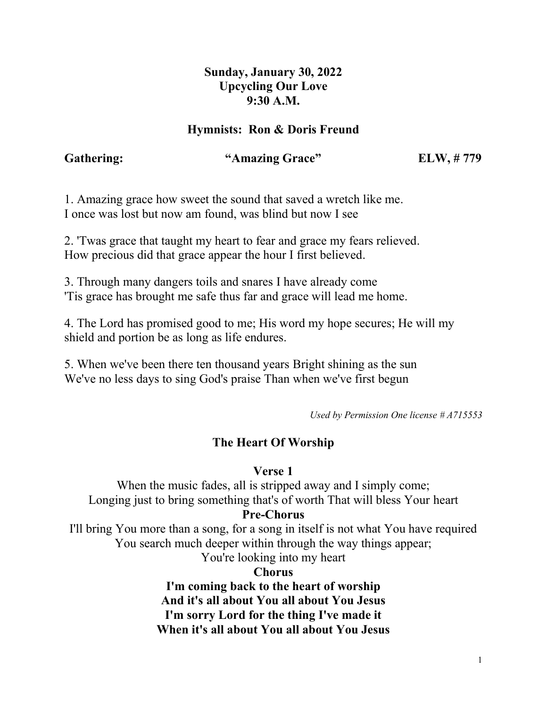# **Sunday, January 30, 2022 Upcycling Our Love 9:30 A.M.**

# **Hymnists: Ron & Doris Freund**

Gathering: *"Amazing Grace"* **ELW, #779** 

1. Amazing grace how sweet the sound that saved a wretch like me. I once was lost but now am found, was blind but now I see

2. 'Twas grace that taught my heart to fear and grace my fears relieved. How precious did that grace appear the hour I first believed.

3. Through many dangers toils and snares I have already come 'Tis grace has brought me safe thus far and grace will lead me home.

4. The Lord has promised good to me; His word my hope secures; He will my shield and portion be as long as life endures.

5. When we've been there ten thousand years Bright shining as the sun We've no less days to sing God's praise Than when we've first begun

*Used by Permission One license # A715553*

## **The Heart Of Worship**

#### **Verse 1**

When the music fades, all is stripped away and I simply come; Longing just to bring something that's of worth That will bless Your heart

#### **Pre-Chorus**

I'll bring You more than a song, for a song in itself is not what You have required You search much deeper within through the way things appear;

You're looking into my heart

**Chorus**

**I'm coming back to the heart of worship And it's all about You all about You Jesus I'm sorry Lord for the thing I've made it When it's all about You all about You Jesus**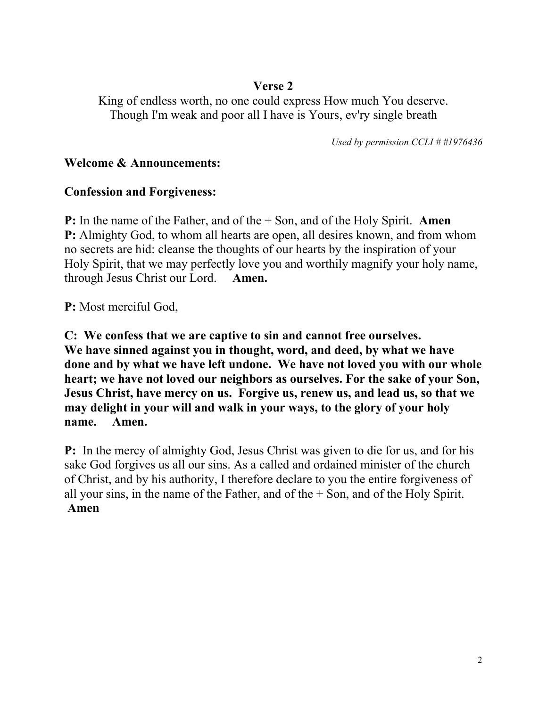# **Verse 2**

King of endless worth, no one could express How much You deserve. Though I'm weak and poor all I have is Yours, ev'ry single breath

*Used by permission CCLI # #1976436*

## **Welcome & Announcements:**

## **Confession and Forgiveness:**

**P:** In the name of the Father, and of the + Son, and of the Holy Spirit. **Amen P:** Almighty God, to whom all hearts are open, all desires known, and from whom no secrets are hid: cleanse the thoughts of our hearts by the inspiration of your Holy Spirit, that we may perfectly love you and worthily magnify your holy name, through Jesus Christ our Lord. **Amen.**

**P:** Most merciful God,

**C: We confess that we are captive to sin and cannot free ourselves. We have sinned against you in thought, word, and deed, by what we have done and by what we have left undone. We have not loved you with our whole heart; we have not loved our neighbors as ourselves. For the sake of your Son, Jesus Christ, have mercy on us. Forgive us, renew us, and lead us, so that we may delight in your will and walk in your ways, to the glory of your holy name. Amen.**

**P:** In the mercy of almighty God, Jesus Christ was given to die for us, and for his sake God forgives us all our sins. As a called and ordained minister of the church of Christ, and by his authority, I therefore declare to you the entire forgiveness of all your sins, in the name of the Father, and of the  $+$  Son, and of the Holy Spirit. **Amen**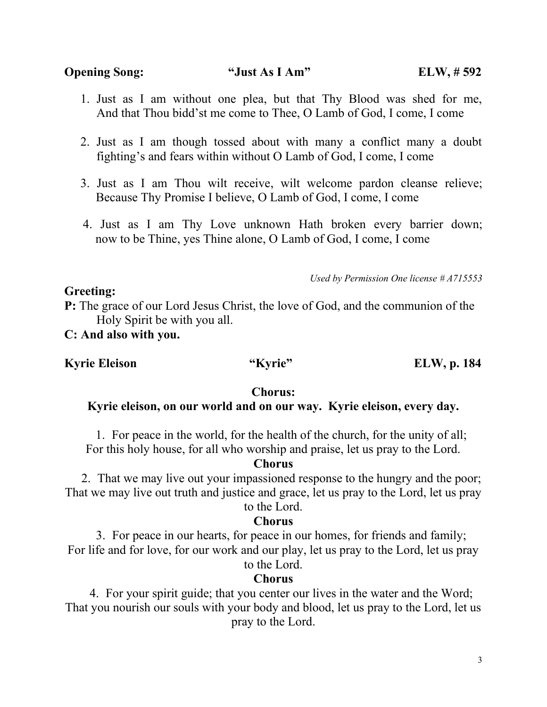3

- 1. Just as I am without one plea, but that Thy Blood was shed for me, And that Thou bidd'st me come to Thee, O Lamb of God, I come, I come
- 2. Just as I am though tossed about with many a conflict many a doubt fighting's and fears within without O Lamb of God, I come, I come
- 3. Just as I am Thou wilt receive, wilt welcome pardon cleanse relieve; Because Thy Promise I believe, O Lamb of God, I come, I come
- 4. Just as I am Thy Love unknown Hath broken every barrier down; now to be Thine, yes Thine alone, O Lamb of God, I come, I come

*Used by Permission One license # A715553*

## **Greeting:**

**P:** The grace of our Lord Jesus Christ, the love of God, and the communion of the Holy Spirit be with you all.

**C: And also with you.** 

**Kyrie Eleison** "Kyrie" ELW, p. 184

## **Chorus:**

## **Kyrie eleison, on our world and on our way. Kyrie eleison, every day.**

1. For peace in the world, for the health of the church, for the unity of all; For this holy house, for all who worship and praise, let us pray to the Lord.

## **Chorus**

2. That we may live out your impassioned response to the hungry and the poor; That we may live out truth and justice and grace, let us pray to the Lord, let us pray to the Lord.

### **Chorus**

3. For peace in our hearts, for peace in our homes, for friends and family; For life and for love, for our work and our play, let us pray to the Lord, let us pray to the Lord.

## **Chorus**

4. For your spirit guide; that you center our lives in the water and the Word; That you nourish our souls with your body and blood, let us pray to the Lord, let us pray to the Lord.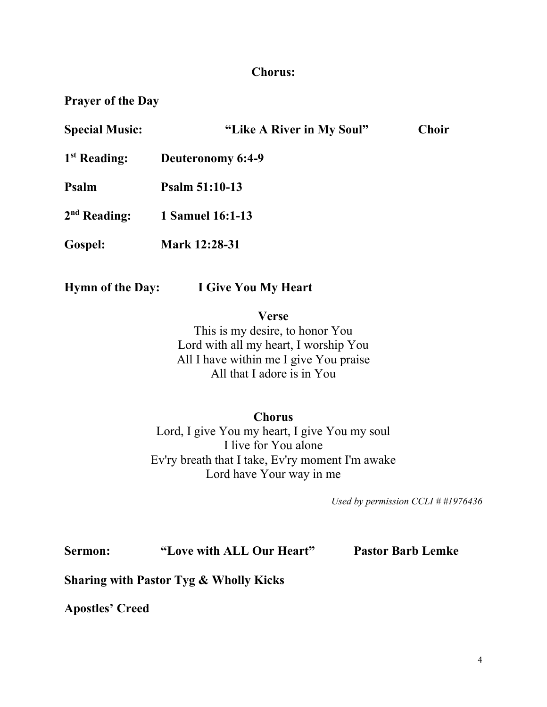#### **Chorus:**

**Prayer of the Day**

| <b>Special Music:</b>    | "Like A River in My Soul" | <b>Choir</b> |
|--------------------------|---------------------------|--------------|
| 1 <sup>st</sup> Reading: | Deuteronomy 6:4-9         |              |
| Psalm                    | <b>Psalm 51:10-13</b>     |              |
| $2nd$ Reading:           | 1 Samuel 16:1-13          |              |
| <b>Gospel:</b>           | Mark 12:28-31             |              |

**Hymn of the Day: I Give You My Heart**

#### **Verse**

This is my desire, to honor You Lord with all my heart, I worship You All I have within me I give You praise All that I adore is in You

**Chorus** Lord, I give You my heart, I give You my soul I live for You alone Ev'ry breath that I take, Ev'ry moment I'm awake Lord have Your way in me

*Used by permission CCLI # #1976436*

**Sermon: "Love with ALL Our Heart" Pastor Barb Lemke**

**Sharing with Pastor Tyg & Wholly Kicks**

**Apostles' Creed**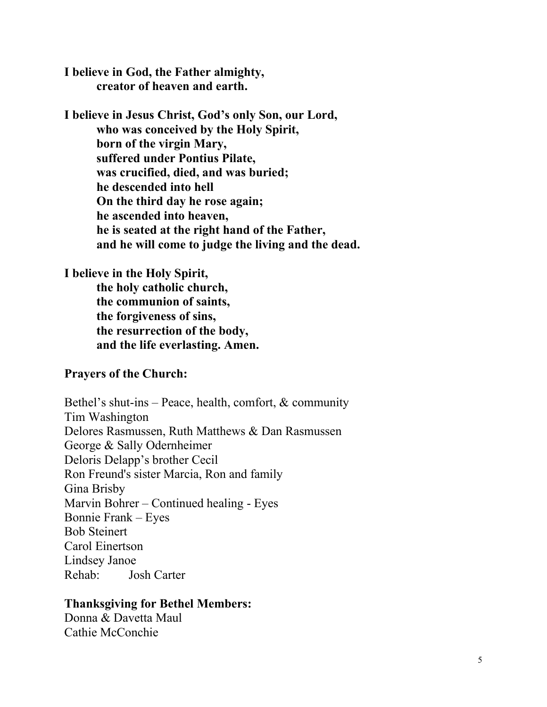**I believe in God, the Father almighty, creator of heaven and earth.**

**I believe in Jesus Christ, God's only Son, our Lord, who was conceived by the Holy Spirit, born of the virgin Mary, suffered under Pontius Pilate, was crucified, died, and was buried; he descended into hell On the third day he rose again; he ascended into heaven, he is seated at the right hand of the Father, and he will come to judge the living and the dead.**

### **I believe in the Holy Spirit,**

**the holy catholic church, the communion of saints, the forgiveness of sins, the resurrection of the body, and the life everlasting. Amen.**

#### **Prayers of the Church:**

Bethel's shut-ins – Peace, health, comfort,  $\&$  community Tim Washington Delores Rasmussen, Ruth Matthews & Dan Rasmussen George & Sally Odernheimer Deloris Delapp's brother Cecil Ron Freund's sister Marcia, Ron and family Gina Brisby Marvin Bohrer – Continued healing - Eyes Bonnie Frank – Eyes Bob Steinert Carol Einertson Lindsey Janoe Rehab: Josh Carter

#### **Thanksgiving for Bethel Members:**

Donna & Davetta Maul Cathie McConchie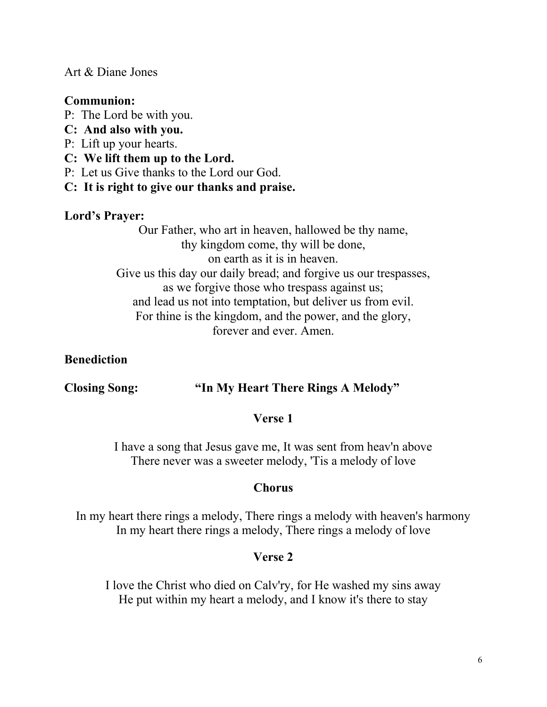Art & Diane Jones

## **Communion:**

- P: The Lord be with you.
- **C: And also with you.**
- P: Lift up your hearts.
- **C: We lift them up to the Lord.**
- P: Let us Give thanks to the Lord our God.
- **C: It is right to give our thanks and praise.**

## **Lord's Prayer:**

Our Father, who art in heaven, hallowed be thy name, thy kingdom come, thy will be done, on earth as it is in heaven. Give us this day our daily bread; and forgive us our trespasses, as we forgive those who trespass against us; and lead us not into temptation, but deliver us from evil. For thine is the kingdom, and the power, and the glory, forever and ever. Amen.

## **Benediction**

**Closing Song: "In My Heart There Rings A Melody"**

## **Verse 1**

I have a song that Jesus gave me, It was sent from heav'n above There never was a sweeter melody, 'Tis a melody of love

## **Chorus**

In my heart there rings a melody, There rings a melody with heaven's harmony In my heart there rings a melody, There rings a melody of love

## **Verse 2**

I love the Christ who died on Calv'ry, for He washed my sins away He put within my heart a melody, and I know it's there to stay